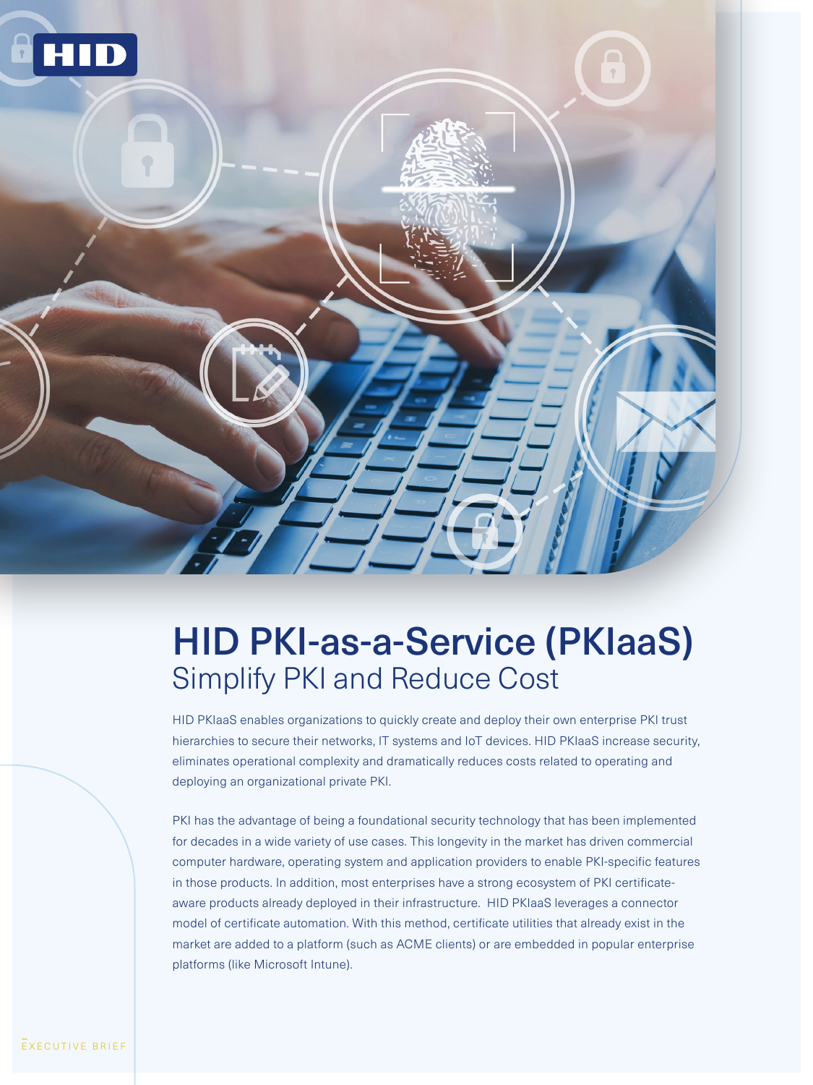

# HID PKI-as-a-Service (PKIaaS) Simplify PKI and Reduce Cost

HID PKIaaS enables organizations to quickly create and deploy their own enterprise PKI trust hierarchies to secure their networks, IT systems and IoT devices. HID PKIaaS increase security, eliminates operational complexity and dramatically reduces costs related to operating and deploying an organizational private PKI.

PKI has the advantage of being a foundational security technology that has been implemented for decades in a wide variety of use cases. This longevity in the market has driven commercial computer hardware, operating system and application providers to enable PKI-specific features in those products. In addition, most enterprises have a strong ecosystem of PKI certificateaware products already deployed in their infrastructure. HID PKIaaS leverages a connector model of certificate automation. With this method, certificate utilities that already exist in the market are added to a platform (such as ACME clients) or are embedded in popular enterprise platforms (like Microsoft Intune).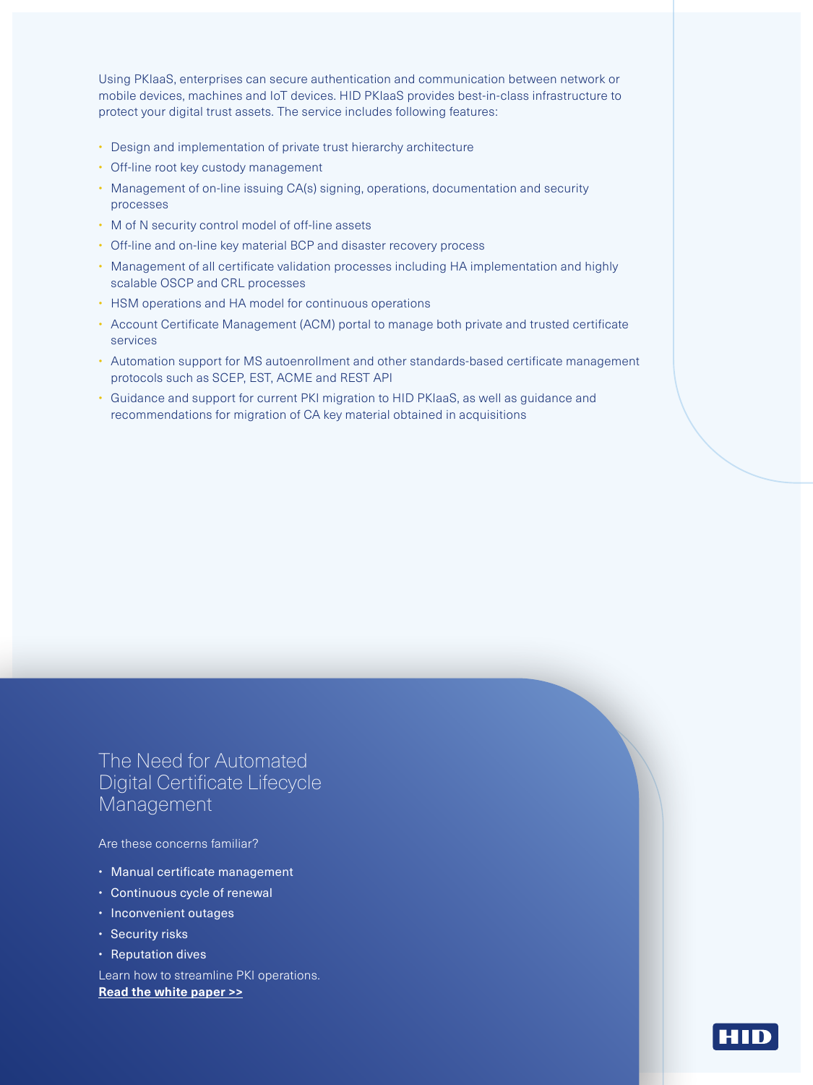Using PKIaaS, enterprises can secure authentication and communication between network or mobile devices, machines and IoT devices. HID PKIaaS provides best-in-class infrastructure to protect your digital trust assets. The service includes following features:

- Design and implementation of private trust hierarchy architecture
- Off-line root key custody management
- Management of on-line issuing CA(s) signing, operations, documentation and security processes
- M of N security control model of off-line assets
- Off-line and on-line key material BCP and disaster recovery process
- Management of all certificate validation processes including HA implementation and highly scalable OSCP and CRL processes
- HSM operations and HA model for continuous operations
- Account Certificate Management (ACM) portal to manage both private and trusted certificate services
- Automation support for MS autoenrollment and other standards-based certificate management protocols such as SCEP, EST, ACME and REST API
- Guidance and support for current PKI migration to HID PKIaaS, as well as guidance and recommendations for migration of CA key material obtained in acquisitions

The Need for Automated Digital Certificate Lifecycle Management

Are these concerns familiar?

- Manual certificate management
- Continuous cycle of renewal
- Inconvenient outages
- Security risks
- Reputation dives

Learn how to streamline PKI operations. **Read the white paper >>**